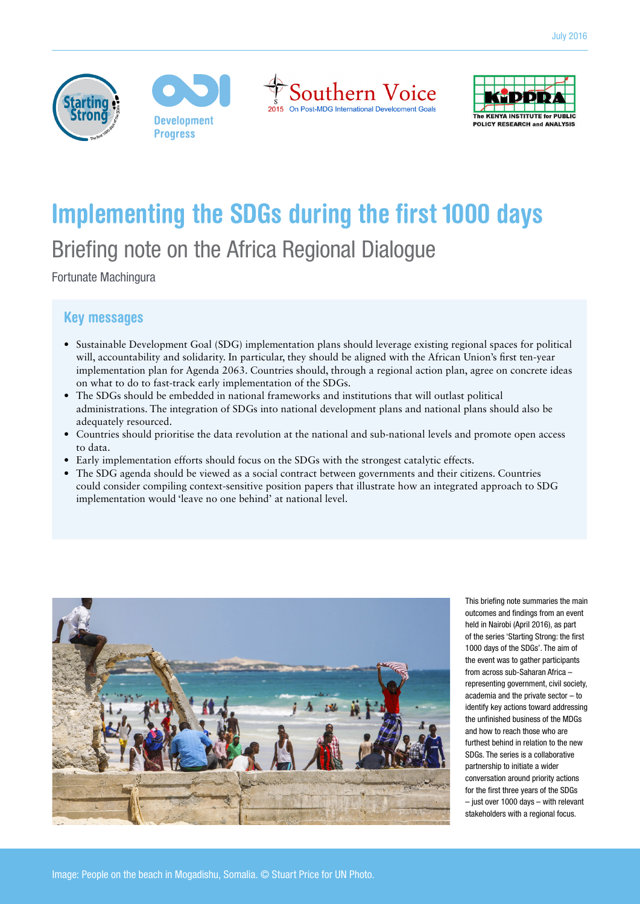







# **Implementing the SDGs during the first 1000 days**  Briefing note on the Africa Regional Dialogue

Fortunate Machingura

# Key messages

- **•** Sustainable Development Goal (SDG) implementation plans should leverage existing regional spaces for political will, accountability and solidarity. In particular, they should be aligned with the African Union's first ten-year implementation plan for Agenda 2063. Countries should, through a regional action plan, agree on concrete ideas on what to do to fast-track early implementation of the SDGs.
- **•** The SDGs should be embedded in national frameworks and institutions that will outlast political administrations. The integration of SDGs into national development plans and national plans should also be adequately resourced.
- **•** Countries should prioritise the data revolution at the national and sub-national levels and promote open access to data.
- **•** Early implementation efforts should focus on the SDGs with the strongest catalytic effects.
- **•** The SDG agenda should be viewed as a social contract between governments and their citizens. Countries could consider compiling context-sensitive position papers that illustrate how an integrated approach to SDG implementation would 'leave no one behind' at national level.



This briefing note summaries the main outcomes and findings from an event held in Nairobi (April 2016), as part of the series 'Starting Strong: the first 1000 days of the SDGs'. The aim of the event was to gather participants from across sub-Saharan Africa – representing government, civil society, academia and the private sector – to identify key actions toward addressing the unfinished business of the MDGs and how to reach those who are furthest behind in relation to the new SDGs. The series is a collaborative partnership to initiate a wider conversation around priority actions for the first three years of the SDGs – just over 1000 days – with relevant stakeholders with a regional focus.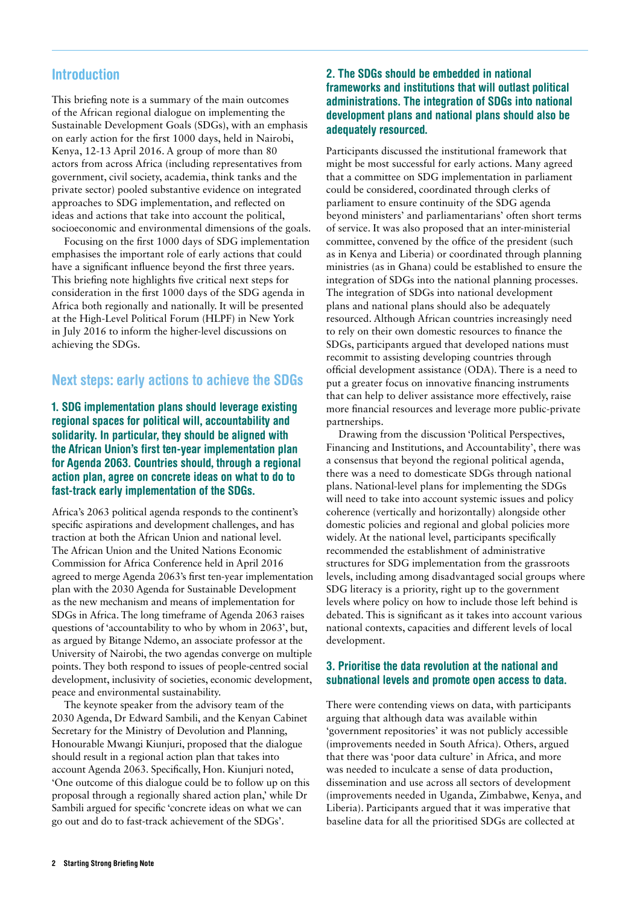### Introduction

This briefing note is a summary of the main outcomes of the African regional dialogue on implementing the Sustainable Development Goals (SDGs), with an emphasis on early action for the first 1000 days, held in Nairobi, Kenya, 12-13 April 2016. A group of more than 80 actors from across Africa (including representatives from government, civil society, academia, think tanks and the private sector) pooled substantive evidence on integrated approaches to SDG implementation, and reflected on ideas and actions that take into account the political, socioeconomic and environmental dimensions of the goals.

Focusing on the first 1000 days of SDG implementation emphasises the important role of early actions that could have a significant influence beyond the first three years. This briefing note highlights five critical next steps for consideration in the first 1000 days of the SDG agenda in Africa both regionally and nationally. It will be presented at the High-Level Political Forum (HLPF) in New York in July 2016 to inform the higher-level discussions on achieving the SDGs.

## Next steps: early actions to achieve the SDGs

#### 1. SDG implementation plans should leverage existing regional spaces for political will, accountability and solidarity. In particular, they should be aligned with the African Union's first ten-year implementation plan for Agenda 2063. Countries should, through a regional action plan, agree on concrete ideas on what to do to fast-track early implementation of the SDGs.

Africa's 2063 political agenda responds to the continent's specific aspirations and development challenges, and has traction at both the African Union and national level. The African Union and the United Nations Economic Commission for Africa Conference held in April 2016 agreed to merge Agenda 2063's first ten-year implementation plan with the 2030 Agenda for Sustainable Development as the new mechanism and means of implementation for SDGs in Africa. The long timeframe of Agenda 2063 raises questions of 'accountability to who by whom in 2063', but, as argued by Bitange Ndemo, an associate professor at the University of Nairobi, the two agendas converge on multiple points. They both respond to issues of people-centred social development, inclusivity of societies, economic development, peace and environmental sustainability.

The keynote speaker from the advisory team of the 2030 Agenda, Dr Edward Sambili, and the Kenyan Cabinet Secretary for the Ministry of Devolution and Planning, Honourable Mwangi Kiunjuri, proposed that the dialogue should result in a regional action plan that takes into account Agenda 2063. Specifically, Hon. Kiunjuri noted, 'One outcome of this dialogue could be to follow up on this proposal through a regionally shared action plan,' while Dr Sambili argued for specific 'concrete ideas on what we can go out and do to fast-track achievement of the SDGs'.

#### 2. The SDGs should be embedded in national frameworks and institutions that will outlast political administrations. The integration of SDGs into national development plans and national plans should also be adequately resourced.

Participants discussed the institutional framework that might be most successful for early actions. Many agreed that a committee on SDG implementation in parliament could be considered, coordinated through clerks of parliament to ensure continuity of the SDG agenda beyond ministers' and parliamentarians' often short terms of service. It was also proposed that an inter-ministerial committee, convened by the office of the president (such as in Kenya and Liberia) or coordinated through planning ministries (as in Ghana) could be established to ensure the integration of SDGs into the national planning processes. The integration of SDGs into national development plans and national plans should also be adequately resourced. Although African countries increasingly need to rely on their own domestic resources to finance the SDGs, participants argued that developed nations must recommit to assisting developing countries through official development assistance (ODA). There is a need to put a greater focus on innovative financing instruments that can help to deliver assistance more effectively, raise more financial resources and leverage more public-private partnerships.

Drawing from the discussion 'Political Perspectives, Financing and Institutions, and Accountability', there was a consensus that beyond the regional political agenda, there was a need to domesticate SDGs through national plans. National-level plans for implementing the SDGs will need to take into account systemic issues and policy coherence (vertically and horizontally) alongside other domestic policies and regional and global policies more widely. At the national level, participants specifically recommended the establishment of administrative structures for SDG implementation from the grassroots levels, including among disadvantaged social groups where SDG literacy is a priority, right up to the government levels where policy on how to include those left behind is debated. This is significant as it takes into account various national contexts, capacities and different levels of local development.

#### 3. Prioritise the data revolution at the national and subnational levels and promote open access to data.

There were contending views on data, with participants arguing that although data was available within 'government repositories' it was not publicly accessible (improvements needed in South Africa). Others, argued that there was 'poor data culture' in Africa, and more was needed to inculcate a sense of data production, dissemination and use across all sectors of development (improvements needed in Uganda, Zimbabwe, Kenya, and Liberia). Participants argued that it was imperative that baseline data for all the prioritised SDGs are collected at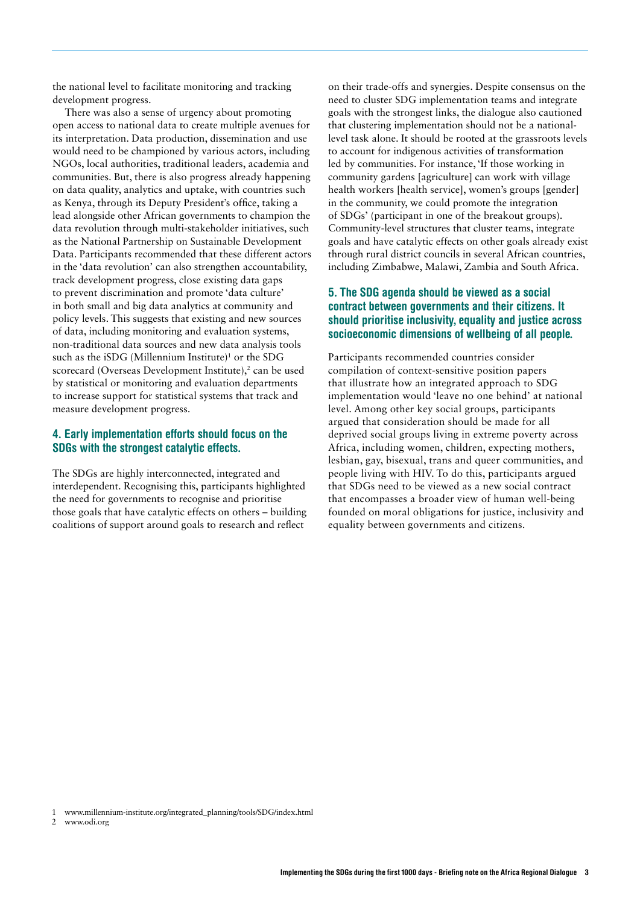the national level to facilitate monitoring and tracking development progress.

There was also a sense of urgency about promoting open access to national data to create multiple avenues for its interpretation. Data production, dissemination and use would need to be championed by various actors, including NGOs, local authorities, traditional leaders, academia and communities. But, there is also progress already happening on data quality, analytics and uptake, with countries such as Kenya, through its Deputy President's office, taking a lead alongside other African governments to champion the data revolution through multi-stakeholder initiatives, such as the National Partnership on Sustainable Development Data. Participants recommended that these different actors in the 'data revolution' can also strengthen accountability, track development progress, close existing data gaps to prevent discrimination and promote 'data culture' in both small and big data analytics at community and policy levels. This suggests that existing and new sources of data, including monitoring and evaluation systems, non-traditional data sources and new data analysis tools such as the iSDG (Millennium Institute)<sup>1</sup> or the SDG scorecard (Overseas Development Institute),<sup>2</sup> can be used by statistical or monitoring and evaluation departments to increase support for statistical systems that track and measure development progress.

#### 4. Early implementation efforts should focus on the SDGs with the strongest catalytic effects.

The SDGs are highly interconnected, integrated and interdependent. Recognising this, participants highlighted the need for governments to recognise and prioritise those goals that have catalytic effects on others – building coalitions of support around goals to research and reflect

on their trade-offs and synergies. Despite consensus on the need to cluster SDG implementation teams and integrate goals with the strongest links, the dialogue also cautioned that clustering implementation should not be a nationallevel task alone. It should be rooted at the grassroots levels to account for indigenous activities of transformation led by communities. For instance, 'If those working in community gardens [agriculture] can work with village health workers [health service], women's groups [gender] in the community, we could promote the integration of SDGs' (participant in one of the breakout groups). Community-level structures that cluster teams, integrate goals and have catalytic effects on other goals already exist through rural district councils in several African countries, including Zimbabwe, Malawi, Zambia and South Africa.

#### 5. The SDG agenda should be viewed as a social contract between governments and their citizens. It should prioritise inclusivity, equality and justice across socioeconomic dimensions of wellbeing of all people.

Participants recommended countries consider compilation of context-sensitive position papers that illustrate how an integrated approach to SDG implementation would 'leave no one behind' at national level. Among other key social groups, participants argued that consideration should be made for all deprived social groups living in extreme poverty across Africa, including women, children, expecting mothers, lesbian, gay, bisexual, trans and queer communities, and people living with HIV. To do this, participants argued that SDGs need to be viewed as a new social contract that encompasses a broader view of human well-being founded on moral obligations for justice, inclusivity and equality between governments and citizens.

- 1 [www.millennium-institute.org/integrated\\_planning/tools/SDG/index.html](http://www.millennium-institute.org/integrated_planning/tools/SDG/index.html)
- 2 www.odi.org